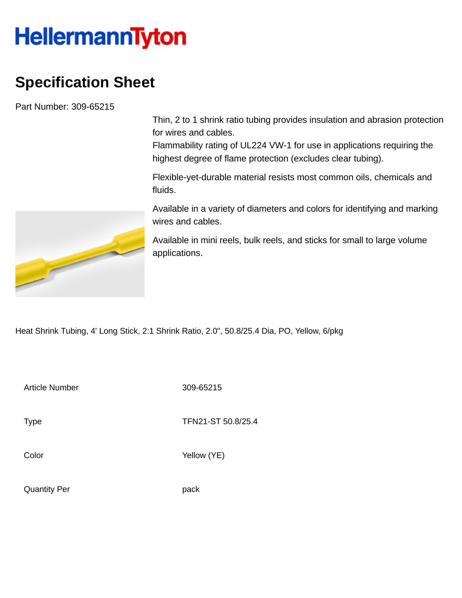## **HellermannTyton**

## **Specification Sheet**

Part Number: 309-65215

Thin, 2 to 1 shrink ratio tubing provides insulation and abrasion protection for wires and cables.

Flammability rating of UL224 VW-1 for use in applications requiring the highest degree of flame protection (excludes clear tubing).

Flexible-yet-durable material resists most common oils, chemicals and fluids.

Available in a variety of diameters and colors for identifying and marking wires and cables.

Available in mini reels, bulk reels, and sticks for small to large volume applications.

Heat Shrink Tubing, 4' Long Stick, 2:1 Shrink Ratio, 2.0", 50.8/25.4 Dia, PO, Yellow, 6/pkg

Article Number 309-65215

Type Type TFN21-ST 50.8/25.4

Color Yellow (YE)



Quantity Per **pack**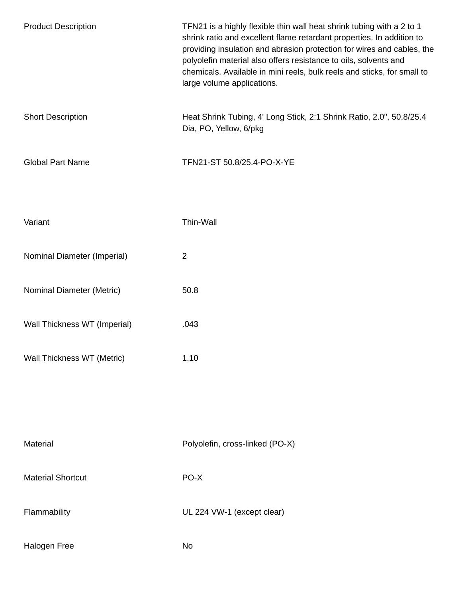| <b>Product Description</b>   | TFN21 is a highly flexible thin wall heat shrink tubing with a 2 to 1<br>shrink ratio and excellent flame retardant properties. In addition to<br>providing insulation and abrasion protection for wires and cables, the<br>polyolefin material also offers resistance to oils, solvents and<br>chemicals. Available in mini reels, bulk reels and sticks, for small to<br>large volume applications. |
|------------------------------|-------------------------------------------------------------------------------------------------------------------------------------------------------------------------------------------------------------------------------------------------------------------------------------------------------------------------------------------------------------------------------------------------------|
| <b>Short Description</b>     | Heat Shrink Tubing, 4' Long Stick, 2:1 Shrink Ratio, 2.0", 50.8/25.4<br>Dia, PO, Yellow, 6/pkg                                                                                                                                                                                                                                                                                                        |
| <b>Global Part Name</b>      | TFN21-ST 50.8/25.4-PO-X-YE                                                                                                                                                                                                                                                                                                                                                                            |
| Variant                      | Thin-Wall                                                                                                                                                                                                                                                                                                                                                                                             |
| Nominal Diameter (Imperial)  | $\overline{2}$                                                                                                                                                                                                                                                                                                                                                                                        |
| Nominal Diameter (Metric)    | 50.8                                                                                                                                                                                                                                                                                                                                                                                                  |
| Wall Thickness WT (Imperial) | .043                                                                                                                                                                                                                                                                                                                                                                                                  |
| Wall Thickness WT (Metric)   | 1.10                                                                                                                                                                                                                                                                                                                                                                                                  |
|                              |                                                                                                                                                                                                                                                                                                                                                                                                       |
| Material                     | Polyolefin, cross-linked (PO-X)                                                                                                                                                                                                                                                                                                                                                                       |
| <b>Material Shortcut</b>     | PO-X                                                                                                                                                                                                                                                                                                                                                                                                  |
| Flammability                 | UL 224 VW-1 (except clear)                                                                                                                                                                                                                                                                                                                                                                            |
| Halogen Free                 | No                                                                                                                                                                                                                                                                                                                                                                                                    |